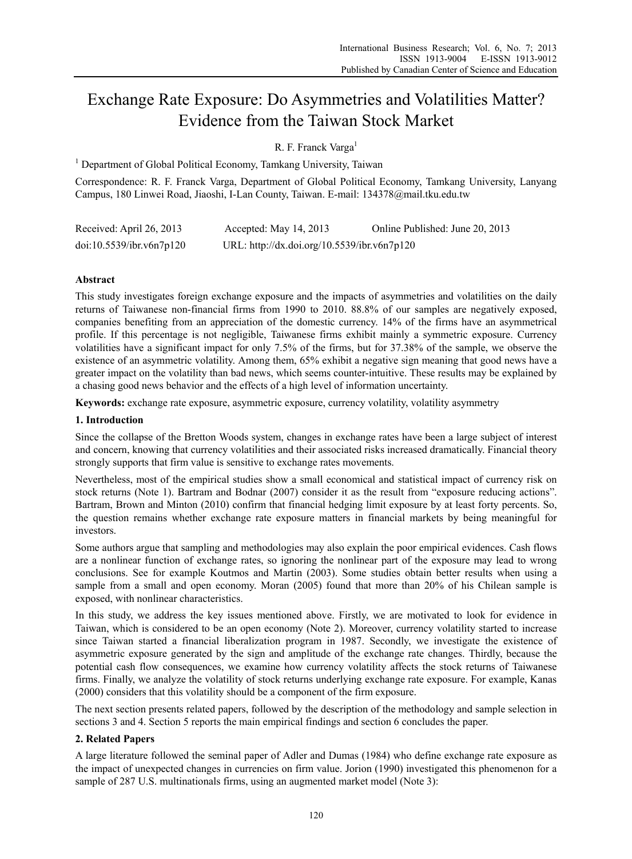# Exchange Rate Exposure: Do Asymmetries and Volatilities Matter? Evidence from the Taiwan Stock Market

R. F. Franck Varga<sup>1</sup>

<sup>1</sup> Department of Global Political Economy, Tamkang University, Taiwan

Correspondence: R. F. Franck Varga, Department of Global Political Economy, Tamkang University, Lanyang Campus, 180 Linwei Road, Jiaoshi, I-Lan County, Taiwan. E-mail: 134378@mail.tku.edu.tw

| Received: April 26, 2013 | Accepted: May $14, 2013$                    | Online Published: June 20, 2013 |
|--------------------------|---------------------------------------------|---------------------------------|
| doi:10.5539/ibr.v6n7p120 | URL: http://dx.doi.org/10.5539/ibr.v6n7p120 |                                 |

# **Abstract**

This study investigates foreign exchange exposure and the impacts of asymmetries and volatilities on the daily returns of Taiwanese non-financial firms from 1990 to 2010. 88.8% of our samples are negatively exposed, companies benefiting from an appreciation of the domestic currency. 14% of the firms have an asymmetrical profile. If this percentage is not negligible, Taiwanese firms exhibit mainly a symmetric exposure. Currency volatilities have a significant impact for only 7.5% of the firms, but for 37.38% of the sample, we observe the existence of an asymmetric volatility. Among them, 65% exhibit a negative sign meaning that good news have a greater impact on the volatility than bad news, which seems counter-intuitive. These results may be explained by a chasing good news behavior and the effects of a high level of information uncertainty.

**Keywords:** exchange rate exposure, asymmetric exposure, currency volatility, volatility asymmetry

## **1. Introduction**

Since the collapse of the Bretton Woods system, changes in exchange rates have been a large subject of interest and concern, knowing that currency volatilities and their associated risks increased dramatically. Financial theory strongly supports that firm value is sensitive to exchange rates movements.

Nevertheless, most of the empirical studies show a small economical and statistical impact of currency risk on stock returns (Note 1). Bartram and Bodnar (2007) consider it as the result from "exposure reducing actions". Bartram, Brown and Minton (2010) confirm that financial hedging limit exposure by at least forty percents. So, the question remains whether exchange rate exposure matters in financial markets by being meaningful for investors.

Some authors argue that sampling and methodologies may also explain the poor empirical evidences. Cash flows are a nonlinear function of exchange rates, so ignoring the nonlinear part of the exposure may lead to wrong conclusions. See for example Koutmos and Martin (2003). Some studies obtain better results when using a sample from a small and open economy. Moran (2005) found that more than 20% of his Chilean sample is exposed, with nonlinear characteristics.

In this study, we address the key issues mentioned above. Firstly, we are motivated to look for evidence in Taiwan, which is considered to be an open economy (Note 2). Moreover, currency volatility started to increase since Taiwan started a financial liberalization program in 1987. Secondly, we investigate the existence of asymmetric exposure generated by the sign and amplitude of the exchange rate changes. Thirdly, because the potential cash flow consequences, we examine how currency volatility affects the stock returns of Taiwanese firms. Finally, we analyze the volatility of stock returns underlying exchange rate exposure. For example, Kanas (2000) considers that this volatility should be a component of the firm exposure.

The next section presents related papers, followed by the description of the methodology and sample selection in sections 3 and 4. Section 5 reports the main empirical findings and section 6 concludes the paper.

# **2. Related Papers**

A large literature followed the seminal paper of Adler and Dumas (1984) who define exchange rate exposure as the impact of unexpected changes in currencies on firm value. Jorion (1990) investigated this phenomenon for a sample of 287 U.S. multinationals firms, using an augmented market model (Note 3):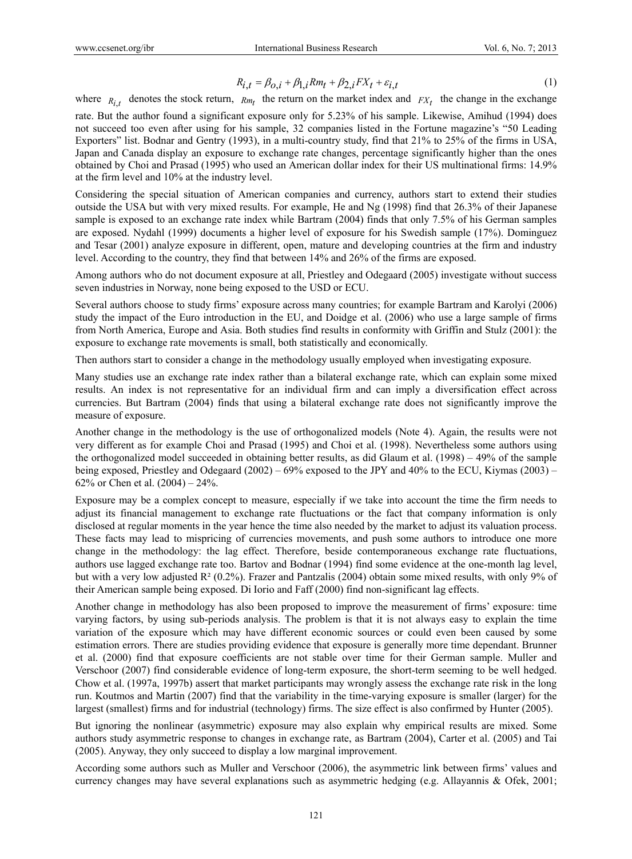$$
R_{i,t} = \beta_{0,i} + \beta_{1,i} R m_t + \beta_{2,i} F X_t + \varepsilon_{i,t}
$$
 (1)

where  $R_{i,t}$  denotes the stock return,  $R_{m_t}$  the return on the market index and  $FX_t$  the change in the exchange

rate. But the author found a significant exposure only for 5.23% of his sample. Likewise, Amihud (1994) does not succeed too even after using for his sample, 32 companies listed in the Fortune magazine's "50 Leading Exporters" list. Bodnar and Gentry (1993), in a multi-country study, find that 21% to 25% of the firms in USA, Japan and Canada display an exposure to exchange rate changes, percentage significantly higher than the ones obtained by Choi and Prasad (1995) who used an American dollar index for their US multinational firms: 14.9% at the firm level and 10% at the industry level.

Considering the special situation of American companies and currency, authors start to extend their studies outside the USA but with very mixed results. For example, He and Ng (1998) find that 26.3% of their Japanese sample is exposed to an exchange rate index while Bartram (2004) finds that only 7.5% of his German samples are exposed. Nydahl (1999) documents a higher level of exposure for his Swedish sample (17%). Dominguez and Tesar (2001) analyze exposure in different, open, mature and developing countries at the firm and industry level. According to the country, they find that between 14% and 26% of the firms are exposed.

Among authors who do not document exposure at all, Priestley and Odegaard (2005) investigate without success seven industries in Norway, none being exposed to the USD or ECU.

Several authors choose to study firms' exposure across many countries; for example Bartram and Karolyi (2006) study the impact of the Euro introduction in the EU, and Doidge et al. (2006) who use a large sample of firms from North America, Europe and Asia. Both studies find results in conformity with Griffin and Stulz (2001): the exposure to exchange rate movements is small, both statistically and economically.

Then authors start to consider a change in the methodology usually employed when investigating exposure.

Many studies use an exchange rate index rather than a bilateral exchange rate, which can explain some mixed results. An index is not representative for an individual firm and can imply a diversification effect across currencies. But Bartram (2004) finds that using a bilateral exchange rate does not significantly improve the measure of exposure.

Another change in the methodology is the use of orthogonalized models (Note 4). Again, the results were not very different as for example Choi and Prasad (1995) and Choi et al. (1998). Nevertheless some authors using the orthogonalized model succeeded in obtaining better results, as did Glaum et al. (1998) – 49% of the sample being exposed, Priestley and Odegaard (2002) – 69% exposed to the JPY and 40% to the ECU, Kiymas (2003) – 62% or Chen et al.  $(2004) - 24%$ .

Exposure may be a complex concept to measure, especially if we take into account the time the firm needs to adjust its financial management to exchange rate fluctuations or the fact that company information is only disclosed at regular moments in the year hence the time also needed by the market to adjust its valuation process. These facts may lead to mispricing of currencies movements, and push some authors to introduce one more change in the methodology: the lag effect. Therefore, beside contemporaneous exchange rate fluctuations, authors use lagged exchange rate too. Bartov and Bodnar (1994) find some evidence at the one-month lag level, but with a very low adjusted R² (0.2%). Frazer and Pantzalis (2004) obtain some mixed results, with only 9% of their American sample being exposed. Di Iorio and Faff (2000) find non-significant lag effects.

Another change in methodology has also been proposed to improve the measurement of firms' exposure: time varying factors, by using sub-periods analysis. The problem is that it is not always easy to explain the time variation of the exposure which may have different economic sources or could even been caused by some estimation errors. There are studies providing evidence that exposure is generally more time dependant. Brunner et al. (2000) find that exposure coefficients are not stable over time for their German sample. Muller and Verschoor (2007) find considerable evidence of long-term exposure, the short-term seeming to be well hedged. Chow et al. (1997a, 1997b) assert that market participants may wrongly assess the exchange rate risk in the long run. Koutmos and Martin (2007) find that the variability in the time-varying exposure is smaller (larger) for the largest (smallest) firms and for industrial (technology) firms. The size effect is also confirmed by Hunter (2005).

But ignoring the nonlinear (asymmetric) exposure may also explain why empirical results are mixed. Some authors study asymmetric response to changes in exchange rate, as Bartram (2004), Carter et al. (2005) and Tai (2005). Anyway, they only succeed to display a low marginal improvement.

According some authors such as Muller and Verschoor (2006), the asymmetric link between firms' values and currency changes may have several explanations such as asymmetric hedging (e.g. Allayannis & Ofek, 2001;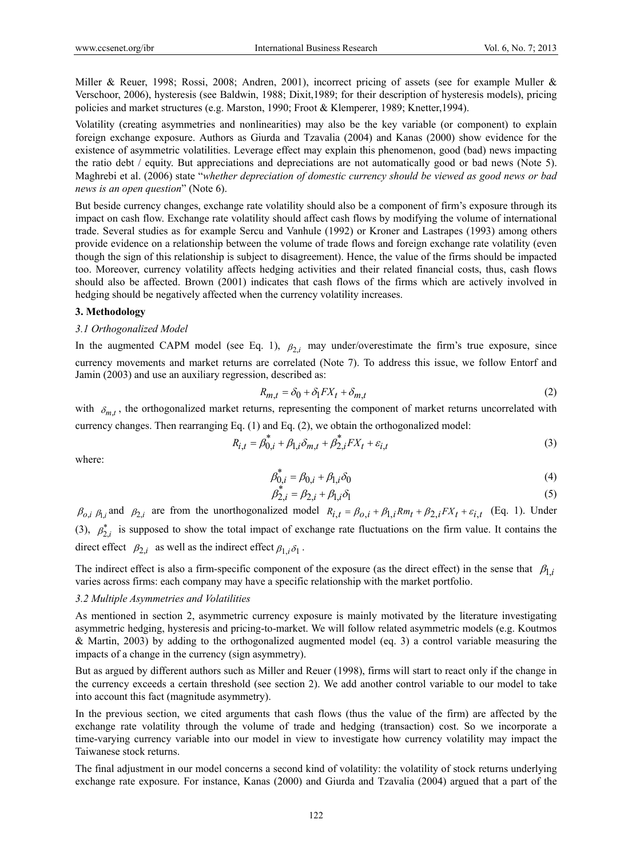Miller & Reuer, 1998; Rossi, 2008; Andren, 2001), incorrect pricing of assets (see for example Muller & Verschoor, 2006), hysteresis (see Baldwin, 1988; Dixit,1989; for their description of hysteresis models), pricing policies and market structures (e.g. Marston, 1990; Froot & Klemperer, 1989; Knetter,1994).

Volatility (creating asymmetries and nonlinearities) may also be the key variable (or component) to explain foreign exchange exposure. Authors as Giurda and Tzavalia (2004) and Kanas (2000) show evidence for the existence of asymmetric volatilities. Leverage effect may explain this phenomenon, good (bad) news impacting the ratio debt / equity. But appreciations and depreciations are not automatically good or bad news (Note 5). Maghrebi et al. (2006) state "*whether depreciation of domestic currency should be viewed as good news or bad news is an open question*" (Note 6).

But beside currency changes, exchange rate volatility should also be a component of firm's exposure through its impact on cash flow. Exchange rate volatility should affect cash flows by modifying the volume of international trade. Several studies as for example Sercu and Vanhule (1992) or Kroner and Lastrapes (1993) among others provide evidence on a relationship between the volume of trade flows and foreign exchange rate volatility (even though the sign of this relationship is subject to disagreement). Hence, the value of the firms should be impacted too. Moreover, currency volatility affects hedging activities and their related financial costs, thus, cash flows should also be affected. Brown (2001) indicates that cash flows of the firms which are actively involved in hedging should be negatively affected when the currency volatility increases.

### **3. Methodology**

#### *3.1 Orthogonalized Model*

In the augmented CAPM model (see Eq. 1),  $\beta_{2,i}$  may under/overestimate the firm's true exposure, since currency movements and market returns are correlated (Note 7). To address this issue, we follow Entorf and Jamin (2003) and use an auxiliary regression, described as:

$$
R_{m,t} = \delta_0 + \delta_1 FX_t + \delta_{m,t} \tag{2}
$$

with  $\delta_{m,t}$ , the orthogonalized market returns, representing the component of market returns uncorrelated with currency changes. Then rearranging Eq. (1) and Eq. (2), we obtain the orthogonalized model:

$$
R_{i,t} = \beta_{0,i}^* + \beta_{1,i}\delta_{m,t} + \beta_{2,i}^*FX_t + \varepsilon_{i,t}
$$
 (3)

where:

$$
\beta_{0,i}^* = \beta_{0,i} + \beta_{1,i}\delta_0 \tag{4}
$$

$$
\beta_{2,i}^* = \beta_{2,i} + \beta_{1,i}\delta_1
$$
 (5)

 $\beta_{0,i}$   $\beta_{1,i}$  and  $\beta_{2,i}$  are from the unorthogonalized model  $R_{i,t} = \beta_{0,i} + \beta_{1,i}Rm_t + \beta_{2,i}FX_t + \varepsilon_{i,t}$  (Eq. 1). Under (3),  $\beta_{2,i}^*$  is supposed to show the total impact of exchange rate fluctuations on the firm value. It contains the direct effect  $\beta_{2,i}$  as well as the indirect effect  $\beta_{1,i} \delta_1$ .

The indirect effect is also a firm-specific component of the exposure (as the direct effect) in the sense that  $\beta_{1i}$ varies across firms: each company may have a specific relationship with the market portfolio.

#### *3.2 Multiple Asymmetries and Volatilities*

As mentioned in section 2, asymmetric currency exposure is mainly motivated by the literature investigating asymmetric hedging, hysteresis and pricing-to-market. We will follow related asymmetric models (e.g. Koutmos & Martin, 2003) by adding to the orthogonalized augmented model (eq. 3) a control variable measuring the impacts of a change in the currency (sign asymmetry).

But as argued by different authors such as Miller and Reuer (1998), firms will start to react only if the change in the currency exceeds a certain threshold (see section 2). We add another control variable to our model to take into account this fact (magnitude asymmetry).

In the previous section, we cited arguments that cash flows (thus the value of the firm) are affected by the exchange rate volatility through the volume of trade and hedging (transaction) cost. So we incorporate a time-varying currency variable into our model in view to investigate how currency volatility may impact the Taiwanese stock returns.

The final adjustment in our model concerns a second kind of volatility: the volatility of stock returns underlying exchange rate exposure. For instance, Kanas (2000) and Giurda and Tzavalia (2004) argued that a part of the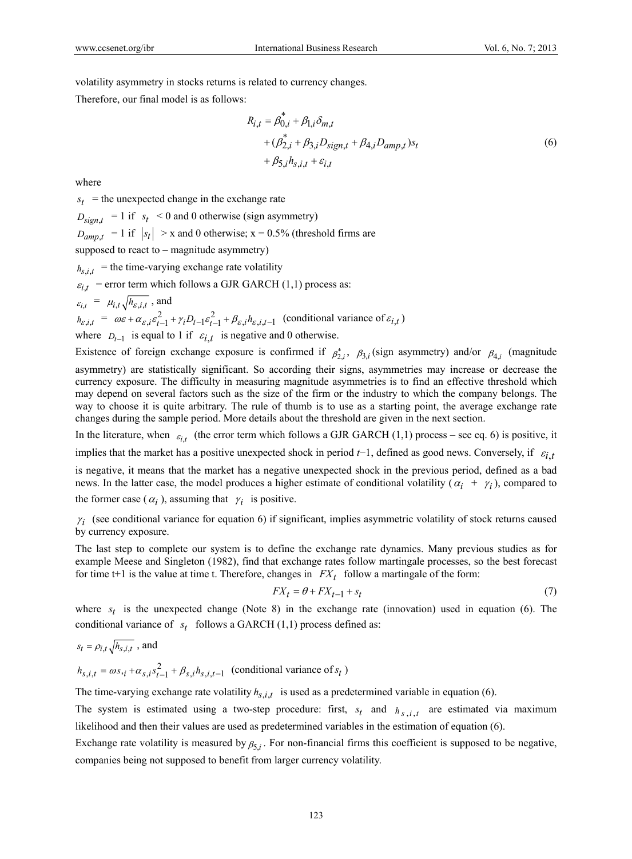volatility asymmetry in stocks returns is related to currency changes.

Therefore, our final model is as follows:

$$
R_{i,t} = \beta_{0,i}^{*} + \beta_{1,i}\delta_{m,t} + (\beta_{2,i}^{*} + \beta_{3,i}D_{sign,t} + \beta_{4,i}D_{amp,t})s_{t} + \beta_{5,i}h_{s,i,t} + \varepsilon_{i,t}
$$
 (6)

where

 $s_t$  = the unexpected change in the exchange rate

 $D_{sient}$  = 1 if  $s_t$  < 0 and 0 otherwise (sign asymmetry)

 $D_{\text{amnt}} = 1$  if  $|s_t| > x$  and 0 otherwise;  $x = 0.5\%$  (threshold firms are

supposed to react to  $-$  magnitude asymmetry)

 $h_{s,i,t}$  = the time-varying exchange rate volatility

 $\varepsilon_{i,t}$  = error term which follows a GJR GARCH (1,1) process as:

$$
\varepsilon_{i,t} = \mu_{i,t} \sqrt{h_{\varepsilon,i,t}}
$$
, and  
\n
$$
h_{\varepsilon,i,t} = \omega \varepsilon + \alpha_{\varepsilon,i} \varepsilon_{t-1}^2 + \gamma_t D_{t-1} \varepsilon_{t-1}^2 + \beta_{\varepsilon,i} h_{\varepsilon,i,t-1}
$$
 (conditional variance of  $\varepsilon_{i,t}$ )  
\nwhere  $D_{t-1}$  is equal to 1 if  $\varepsilon_{i,t}$  is negative and 0 otherwise.

Existence of foreign exchange exposure is confirmed if  $\beta_2^*$ ,  $\beta_{3,i}$  (sign asymmetry) and/or  $\beta_{4,i}$  (magnitude asymmetry) are statistically significant. So according their signs, asymmetries may increase or decrease the currency exposure. The difficulty in measuring magnitude asymmetries is to find an effective threshold which may depend on several factors such as the size of the firm or the industry to which the company belongs. The way to choose it is quite arbitrary. The rule of thumb is to use as a starting point, the average exchange rate

changes during the sample period. More details about the threshold are given in the next section. In the literature, when  $\varepsilon_{i,t}$  (the error term which follows a GJR GARCH (1,1) process – see eq. 6) is positive, it implies that the market has a positive unexpected shock in period  $t-1$ , defined as good news. Conversely, if  $\varepsilon_{i,t}$ is negative, it means that the market has a negative unexpected shock in the previous period, defined as a bad news. In the latter case, the model produces a higher estimate of conditional volatility ( $\alpha_i + \gamma_i$ ), compared to the former case ( $\alpha_i$ ), assuming that  $\gamma_i$  is positive.

 $\gamma_i$  (see conditional variance for equation 6) if significant, implies asymmetric volatility of stock returns caused by currency exposure.

The last step to complete our system is to define the exchange rate dynamics. Many previous studies as for example Meese and Singleton (1982), find that exchange rates follow martingale processes, so the best forecast for time t+1 is the value at time t. Therefore, changes in  $FX_t$  follow a martingale of the form:

$$
FX_t = \theta + FX_{t-1} + s_t \tag{7}
$$

where  $s_t$  is the unexpected change (Note 8) in the exchange rate (innovation) used in equation (6). The conditional variance of  $s_t$  follows a GARCH (1,1) process defined as:

$$
s_t = \rho_{i,t} \sqrt{h_{s,i,t}}
$$
, and

 $h_{s,i,t} = \omega s_{i} + \alpha_{s,i} s_{t-1}^2 + \beta_{s,i} h_{s,i,t-1}$  (conditional variance of  $s_t$ )

The time-varying exchange rate volatility  $h_{s,i,t}$  is used as a predetermined variable in equation (6).

The system is estimated using a two-step procedure: first,  $s_t$  and  $h_{s,i,t}$  are estimated via maximum likelihood and then their values are used as predetermined variables in the estimation of equation (6).

Exchange rate volatility is measured by  $\beta_{5,i}$ . For non-financial firms this coefficient is supposed to be negative, companies being not supposed to benefit from larger currency volatility.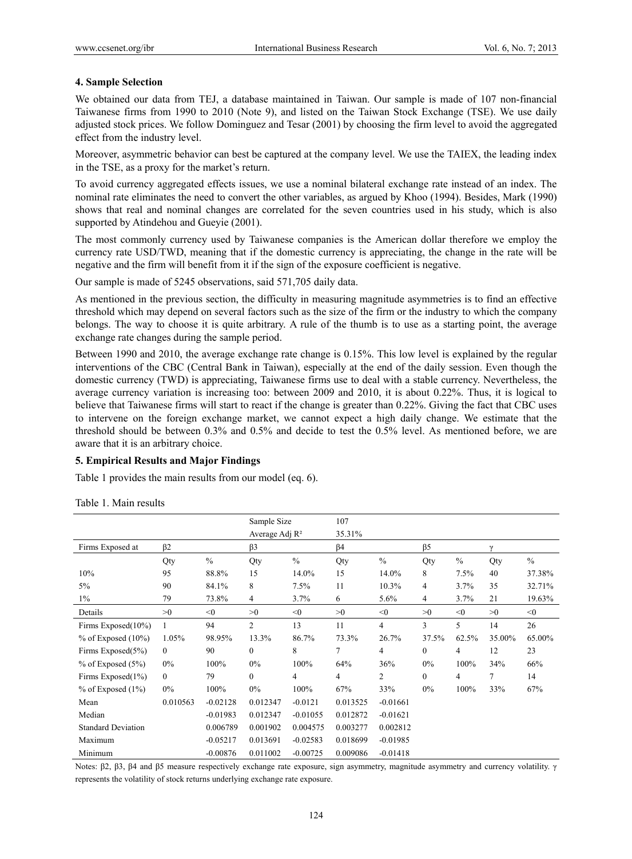## **4. Sample Selection**

We obtained our data from TEJ, a database maintained in Taiwan. Our sample is made of 107 non-financial Taiwanese firms from 1990 to 2010 (Note 9), and listed on the Taiwan Stock Exchange (TSE). We use daily adjusted stock prices. We follow Dominguez and Tesar (2001) by choosing the firm level to avoid the aggregated effect from the industry level.

Moreover, asymmetric behavior can best be captured at the company level. We use the TAIEX, the leading index in the TSE, as a proxy for the market's return.

To avoid currency aggregated effects issues, we use a nominal bilateral exchange rate instead of an index. The nominal rate eliminates the need to convert the other variables, as argued by Khoo (1994). Besides, Mark (1990) shows that real and nominal changes are correlated for the seven countries used in his study, which is also supported by Atindehou and Gueyie (2001).

The most commonly currency used by Taiwanese companies is the American dollar therefore we employ the currency rate USD/TWD, meaning that if the domestic currency is appreciating, the change in the rate will be negative and the firm will benefit from it if the sign of the exposure coefficient is negative.

Our sample is made of 5245 observations, said 571,705 daily data.

As mentioned in the previous section, the difficulty in measuring magnitude asymmetries is to find an effective threshold which may depend on several factors such as the size of the firm or the industry to which the company belongs. The way to choose it is quite arbitrary. A rule of the thumb is to use as a starting point, the average exchange rate changes during the sample period.

Between 1990 and 2010, the average exchange rate change is 0.15%. This low level is explained by the regular interventions of the CBC (Central Bank in Taiwan), especially at the end of the daily session. Even though the domestic currency (TWD) is appreciating, Taiwanese firms use to deal with a stable currency. Nevertheless, the average currency variation is increasing too: between 2009 and 2010, it is about 0.22%. Thus, it is logical to believe that Taiwanese firms will start to react if the change is greater than 0.22%. Giving the fact that CBC uses to intervene on the foreign exchange market, we cannot expect a high daily change. We estimate that the threshold should be between 0.3% and 0.5% and decide to test the 0.5% level. As mentioned before, we are aware that it is an arbitrary choice.

## **5. Empirical Results and Major Findings**

Table 1 provides the main results from our model (eq. 6).

Table 1. Main results

|                           |              |               | Sample Size       |               | 107       |               |                |               |          |        |
|---------------------------|--------------|---------------|-------------------|---------------|-----------|---------------|----------------|---------------|----------|--------|
|                           |              |               | Average Adj $R^2$ |               | 35.31%    |               |                |               |          |        |
| Firms Exposed at          | $\beta$ 2    |               | $\beta$ 3         |               | $\beta$ 4 |               | $\beta$ 5      |               | $\gamma$ |        |
|                           | Qty          | $\frac{0}{0}$ | Qty               | $\frac{0}{0}$ | Qty       | $\frac{0}{0}$ | Qty            | $\frac{0}{0}$ | Qty      | $\%$   |
| 10%                       | 95           | 88.8%         | 15                | 14.0%         | 15        | 14.0%         | 8              | 7.5%          | 40       | 37.38% |
| 5%                        | 90           | 84.1%         | 8                 | 7.5%          | 11        | 10.3%         | 4              | 3.7%          | 35       | 32.71% |
| $1\%$                     | 79           | 73.8%         | 4                 | 3.7%          | 6         | 5.6%          | 4              | 3.7%          | 21       | 19.63% |
| Details                   | >0           | < 0           | >0                | < 0           | >0        | < 0           | >0             | < 0           | >0       | < 0    |
| Firms Exposed(10%)        |              | 94            | $\overline{2}$    | 13            | 11        | 4             | 3              | 5             | 14       | 26     |
| $%$ of Exposed $(10%)$    | 1.05%        | 98.95%        | 13.3%             | 86.7%         | 73.3%     | 26.7%         | 37.5%          | 62.5%         | 35.00%   | 65.00% |
| Firms Exposed(5%)         | $\mathbf{0}$ | 90            | $\mathbf{0}$      | 8             | 7         | 4             | $\overline{0}$ | 4             | 12       | 23     |
| $%$ of Exposed $(5%)$     | $0\%$        | 100%          | $0\%$             | 100%          | 64%       | 36%           | $0\%$          | 100%          | 34%      | 66%    |
| Firms Exposed(1%)         | $\mathbf{0}$ | 79            | $\mathbf{0}$      | 4             | 4         | 2             | $\mathbf{0}$   | 4             | 7        | 14     |
| $%$ of Exposed $(1%)$     | $0\%$        | 100%          | $0\%$             | 100%          | 67%       | 33%           | $0\%$          | 100%          | 33%      | 67%    |
| Mean                      | 0.010563     | $-0.02128$    | 0.012347          | $-0.0121$     | 0.013525  | $-0.01661$    |                |               |          |        |
| Median                    |              | $-0.01983$    | 0.012347          | $-0.01055$    | 0.012872  | $-0.01621$    |                |               |          |        |
| <b>Standard Deviation</b> |              | 0.006789      | 0.001902          | 0.004575      | 0.003277  | 0.002812      |                |               |          |        |
| Maximum                   |              | $-0.05217$    | 0.013691          | $-0.02583$    | 0.018699  | $-0.01985$    |                |               |          |        |
| Minimum                   |              | $-0.00876$    | 0.011002          | $-0.00725$    | 0.009086  | $-0.01418$    |                |               |          |        |

Notes: β2, β3, β4 and β5 measure respectively exchange rate exposure, sign asymmetry, magnitude asymmetry and currency volatility. γ represents the volatility of stock returns underlying exchange rate exposure.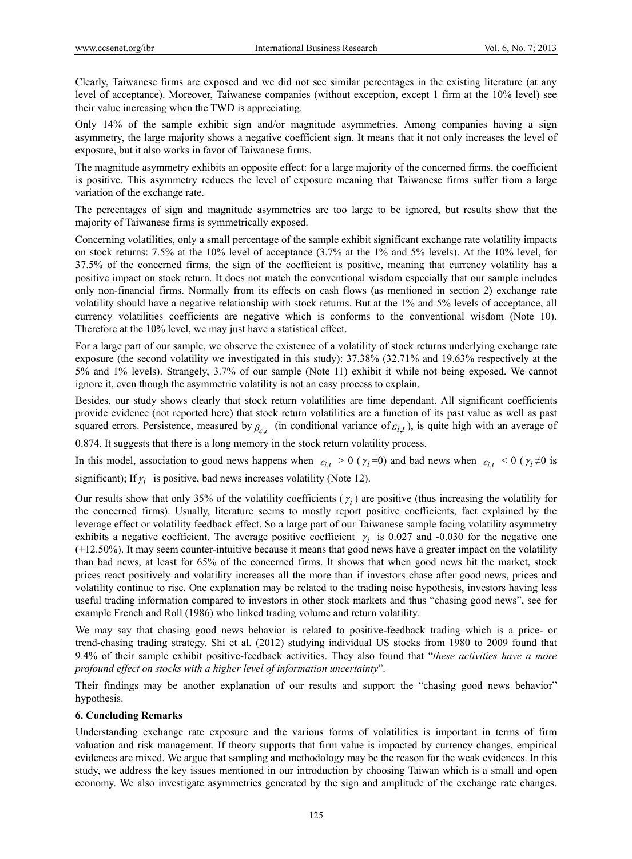Clearly, Taiwanese firms are exposed and we did not see similar percentages in the existing literature (at any level of acceptance). Moreover, Taiwanese companies (without exception, except 1 firm at the 10% level) see their value increasing when the TWD is appreciating.

Only 14% of the sample exhibit sign and/or magnitude asymmetries. Among companies having a sign asymmetry, the large majority shows a negative coefficient sign. It means that it not only increases the level of exposure, but it also works in favor of Taiwanese firms.

The magnitude asymmetry exhibits an opposite effect: for a large majority of the concerned firms, the coefficient is positive. This asymmetry reduces the level of exposure meaning that Taiwanese firms suffer from a large variation of the exchange rate.

The percentages of sign and magnitude asymmetries are too large to be ignored, but results show that the majority of Taiwanese firms is symmetrically exposed.

Concerning volatilities, only a small percentage of the sample exhibit significant exchange rate volatility impacts on stock returns: 7.5% at the 10% level of acceptance (3.7% at the 1% and 5% levels). At the 10% level, for 37.5% of the concerned firms, the sign of the coefficient is positive, meaning that currency volatility has a positive impact on stock return. It does not match the conventional wisdom especially that our sample includes only non-financial firms. Normally from its effects on cash flows (as mentioned in section 2) exchange rate volatility should have a negative relationship with stock returns. But at the 1% and 5% levels of acceptance, all currency volatilities coefficients are negative which is conforms to the conventional wisdom (Note 10). Therefore at the 10% level, we may just have a statistical effect.

For a large part of our sample, we observe the existence of a volatility of stock returns underlying exchange rate exposure (the second volatility we investigated in this study): 37.38% (32.71% and 19.63% respectively at the 5% and 1% levels). Strangely, 3.7% of our sample (Note 11) exhibit it while not being exposed. We cannot ignore it, even though the asymmetric volatility is not an easy process to explain.

Besides, our study shows clearly that stock return volatilities are time dependant. All significant coefficients provide evidence (not reported here) that stock return volatilities are a function of its past value as well as past squared errors. Persistence, measured by  $\beta_{\varepsilon,i}$  (in conditional variance of  $\varepsilon_{i,t}$ ), is quite high with an average of

0.874. It suggests that there is a long memory in the stock return volatility process.

In this model, association to good news happens when  $\varepsilon_{i,t} > 0$  ( $\gamma_i = 0$ ) and bad news when  $\varepsilon_{i,t} < 0$  ( $\gamma_i \neq 0$  is

significant); If  $\gamma_i$  is positive, bad news increases volatility (Note 12).

Our results show that only 35% of the volatility coefficients  $(\gamma_i)$  are positive (thus increasing the volatility for the concerned firms). Usually, literature seems to mostly report positive coefficients, fact explained by the leverage effect or volatility feedback effect. So a large part of our Taiwanese sample facing volatility asymmetry exhibits a negative coefficient. The average positive coefficient  $\gamma_i$  is 0.027 and -0.030 for the negative one (+12.50%). It may seem counter-intuitive because it means that good news have a greater impact on the volatility than bad news, at least for 65% of the concerned firms. It shows that when good news hit the market, stock prices react positively and volatility increases all the more than if investors chase after good news, prices and volatility continue to rise. One explanation may be related to the trading noise hypothesis, investors having less useful trading information compared to investors in other stock markets and thus "chasing good news", see for example French and Roll (1986) who linked trading volume and return volatility.

We may say that chasing good news behavior is related to positive-feedback trading which is a price- or trend-chasing trading strategy. Shi et al. (2012) studying individual US stocks from 1980 to 2009 found that 9.4% of their sample exhibit positive-feedback activities. They also found that "*these activities have a more profound effect on stocks with a higher level of information uncertainty*".

Their findings may be another explanation of our results and support the "chasing good news behavior" hypothesis.

# **6. Concluding Remarks**

Understanding exchange rate exposure and the various forms of volatilities is important in terms of firm valuation and risk management. If theory supports that firm value is impacted by currency changes, empirical evidences are mixed. We argue that sampling and methodology may be the reason for the weak evidences. In this study, we address the key issues mentioned in our introduction by choosing Taiwan which is a small and open economy. We also investigate asymmetries generated by the sign and amplitude of the exchange rate changes.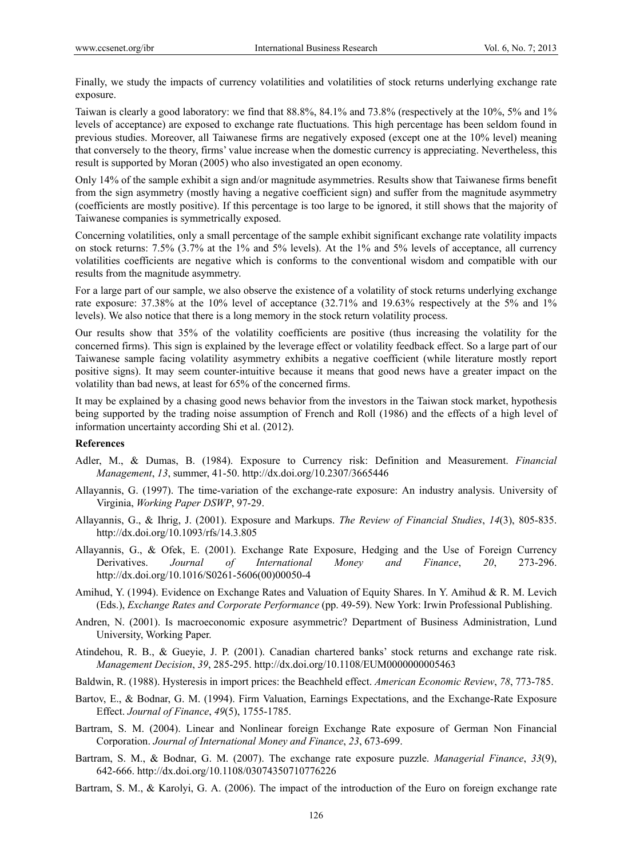Finally, we study the impacts of currency volatilities and volatilities of stock returns underlying exchange rate exposure.

Taiwan is clearly a good laboratory: we find that 88.8%, 84.1% and 73.8% (respectively at the 10%, 5% and 1% levels of acceptance) are exposed to exchange rate fluctuations. This high percentage has been seldom found in previous studies. Moreover, all Taiwanese firms are negatively exposed (except one at the 10% level) meaning that conversely to the theory, firms' value increase when the domestic currency is appreciating. Nevertheless, this result is supported by Moran (2005) who also investigated an open economy.

Only 14% of the sample exhibit a sign and/or magnitude asymmetries. Results show that Taiwanese firms benefit from the sign asymmetry (mostly having a negative coefficient sign) and suffer from the magnitude asymmetry (coefficients are mostly positive). If this percentage is too large to be ignored, it still shows that the majority of Taiwanese companies is symmetrically exposed.

Concerning volatilities, only a small percentage of the sample exhibit significant exchange rate volatility impacts on stock returns: 7.5% (3.7% at the 1% and 5% levels). At the 1% and 5% levels of acceptance, all currency volatilities coefficients are negative which is conforms to the conventional wisdom and compatible with our results from the magnitude asymmetry.

For a large part of our sample, we also observe the existence of a volatility of stock returns underlying exchange rate exposure: 37.38% at the 10% level of acceptance (32.71% and 19.63% respectively at the 5% and 1% levels). We also notice that there is a long memory in the stock return volatility process.

Our results show that 35% of the volatility coefficients are positive (thus increasing the volatility for the concerned firms). This sign is explained by the leverage effect or volatility feedback effect. So a large part of our Taiwanese sample facing volatility asymmetry exhibits a negative coefficient (while literature mostly report positive signs). It may seem counter-intuitive because it means that good news have a greater impact on the volatility than bad news, at least for 65% of the concerned firms.

It may be explained by a chasing good news behavior from the investors in the Taiwan stock market, hypothesis being supported by the trading noise assumption of French and Roll (1986) and the effects of a high level of information uncertainty according Shi et al. (2012).

### **References**

- Adler, M., & Dumas, B. (1984). Exposure to Currency risk: Definition and Measurement. *Financial Management*, *13*, summer, 41-50. http://dx.doi.org/10.2307/3665446
- Allayannis, G. (1997). The time-variation of the exchange-rate exposure: An industry analysis. University of Virginia, *Working Paper DSWP*, 97-29.
- Allayannis, G., & Ihrig, J. (2001). Exposure and Markups. *The Review of Financial Studies*, *14*(3), 805-835. http://dx.doi.org/10.1093/rfs/14.3.805
- Allayannis, G., & Ofek, E. (2001). Exchange Rate Exposure, Hedging and the Use of Foreign Currency Derivatives. *Journal of International Money and Finance*, *20*, 273-296. http://dx.doi.org/10.1016/S0261-5606(00)00050-4
- Amihud, Y. (1994). Evidence on Exchange Rates and Valuation of Equity Shares. In Y. Amihud & R. M. Levich (Eds.), *Exchange Rates and Corporate Performance* (pp. 49-59). New York: Irwin Professional Publishing.
- Andren, N. (2001). Is macroeconomic exposure asymmetric? Department of Business Administration, Lund University, Working Paper.
- Atindehou, R. B., & Gueyie, J. P. (2001). Canadian chartered banks' stock returns and exchange rate risk. *Management Decision*, *39*, 285-295. http://dx.doi.org/10.1108/EUM0000000005463
- Baldwin, R. (1988). Hysteresis in import prices: the Beachheld effect. *American Economic Review*, *78*, 773-785.
- Bartov, E., & Bodnar, G. M. (1994). Firm Valuation, Earnings Expectations, and the Exchange-Rate Exposure Effect. *Journal of Finance*, *49*(5), 1755-1785.
- Bartram, S. M. (2004). Linear and Nonlinear foreign Exchange Rate exposure of German Non Financial Corporation. *Journal of International Money and Finance*, *23*, 673-699.
- Bartram, S. M., & Bodnar, G. M. (2007). The exchange rate exposure puzzle. *Managerial Finance*, *33*(9), 642-666. http://dx.doi.org/10.1108/03074350710776226
- Bartram, S. M., & Karolyi, G. A. (2006). The impact of the introduction of the Euro on foreign exchange rate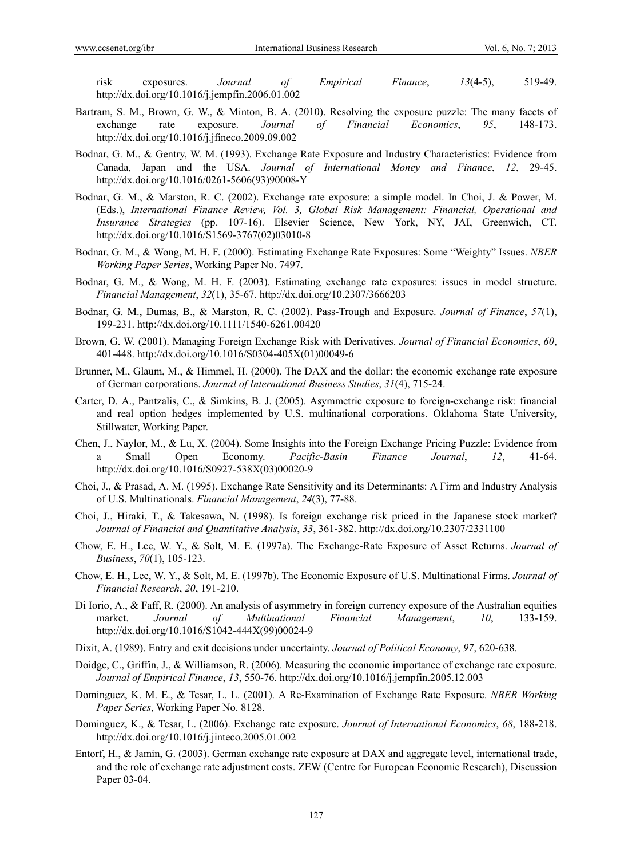risk exposures. *Journal of Empirical Finance*, *13*(4-5), 519-49. http://dx.doi.org/10.1016/j.jempfin.2006.01.002

- Bartram, S. M., Brown, G. W., & Minton, B. A. (2010). Resolving the exposure puzzle: The many facets of exchange rate exposure. *Journal of Financial Economics*, *95*, 148-173. http://dx.doi.org/10.1016/j.jfineco.2009.09.002
- Bodnar, G. M., & Gentry, W. M. (1993). Exchange Rate Exposure and Industry Characteristics: Evidence from Canada, Japan and the USA. *Journal of International Money and Finance*, *12*, 29-45. http://dx.doi.org/10.1016/0261-5606(93)90008-Y
- Bodnar, G. M., & Marston, R. C. (2002). Exchange rate exposure: a simple model. In Choi, J. & Power, M. (Eds.), *International Finance Review, Vol. 3, Global Risk Management: Financial, Operational and Insurance Strategies* (pp. 107-16). Elsevier Science, New York, NY, JAI, Greenwich, CT. http://dx.doi.org/10.1016/S1569-3767(02)03010-8
- Bodnar, G. M., & Wong, M. H. F. (2000). Estimating Exchange Rate Exposures: Some "Weighty" Issues. *NBER Working Paper Series*, Working Paper No. 7497.
- Bodnar, G. M., & Wong, M. H. F. (2003). Estimating exchange rate exposures: issues in model structure. *Financial Management*, *32*(1), 35-67. http://dx.doi.org/10.2307/3666203
- Bodnar, G. M., Dumas, B., & Marston, R. C. (2002). Pass-Trough and Exposure. *Journal of Finance*, *57*(1), 199-231. http://dx.doi.org/10.1111/1540-6261.00420
- Brown, G. W. (2001). Managing Foreign Exchange Risk with Derivatives. *Journal of Financial Economics*, *60*, 401-448. http://dx.doi.org/10.1016/S0304-405X(01)00049-6
- Brunner, M., Glaum, M., & Himmel, H. (2000). The DAX and the dollar: the economic exchange rate exposure of German corporations. *Journal of International Business Studies*, *31*(4), 715-24.
- Carter, D. A., Pantzalis, C., & Simkins, B. J. (2005). Asymmetric exposure to foreign-exchange risk: financial and real option hedges implemented by U.S. multinational corporations. Oklahoma State University, Stillwater, Working Paper.
- Chen, J., Naylor, M., & Lu, X. (2004). Some Insights into the Foreign Exchange Pricing Puzzle: Evidence from a Small Open Economy. *Pacific-Basin Finance Journal*, *12*, 41-64. http://dx.doi.org/10.1016/S0927-538X(03)00020-9
- Choi, J., & Prasad, A. M. (1995). Exchange Rate Sensitivity and its Determinants: A Firm and Industry Analysis of U.S. Multinationals. *Financial Management*, *24*(3), 77-88.
- Choi, J., Hiraki, T., & Takesawa, N. (1998). Is foreign exchange risk priced in the Japanese stock market? *Journal of Financial and Quantitative Analysis*, *33*, 361-382. http://dx.doi.org/10.2307/2331100
- Chow, E. H., Lee, W. Y., & Solt, M. E. (1997a). The Exchange-Rate Exposure of Asset Returns. *Journal of Business*, *70*(1), 105-123.
- Chow, E. H., Lee, W. Y., & Solt, M. E. (1997b). The Economic Exposure of U.S. Multinational Firms. *Journal of Financial Research*, *20*, 191-210.
- Di Iorio, A., & Faff, R. (2000). An analysis of asymmetry in foreign currency exposure of the Australian equities market. *Journal of Multinational Financial Management*, *10*, 133-159. http://dx.doi.org/10.1016/S1042-444X(99)00024-9
- Dixit, A. (1989). Entry and exit decisions under uncertainty. *Journal of Political Economy*, *97*, 620-638.
- Doidge, C., Griffin, J., & Williamson, R. (2006). Measuring the economic importance of exchange rate exposure. *Journal of Empirical Finance*, *13*, 550-76. http://dx.doi.org/10.1016/j.jempfin.2005.12.003
- Dominguez, K. M. E., & Tesar, L. L. (2001). A Re-Examination of Exchange Rate Exposure. *NBER Working Paper Series*, Working Paper No. 8128.
- Dominguez, K., & Tesar, L. (2006). Exchange rate exposure. *Journal of International Economics*, *68*, 188-218. http://dx.doi.org/10.1016/j.jinteco.2005.01.002
- Entorf, H., & Jamin, G. (2003). German exchange rate exposure at DAX and aggregate level, international trade, and the role of exchange rate adjustment costs. ZEW (Centre for European Economic Research), Discussion Paper 03-04.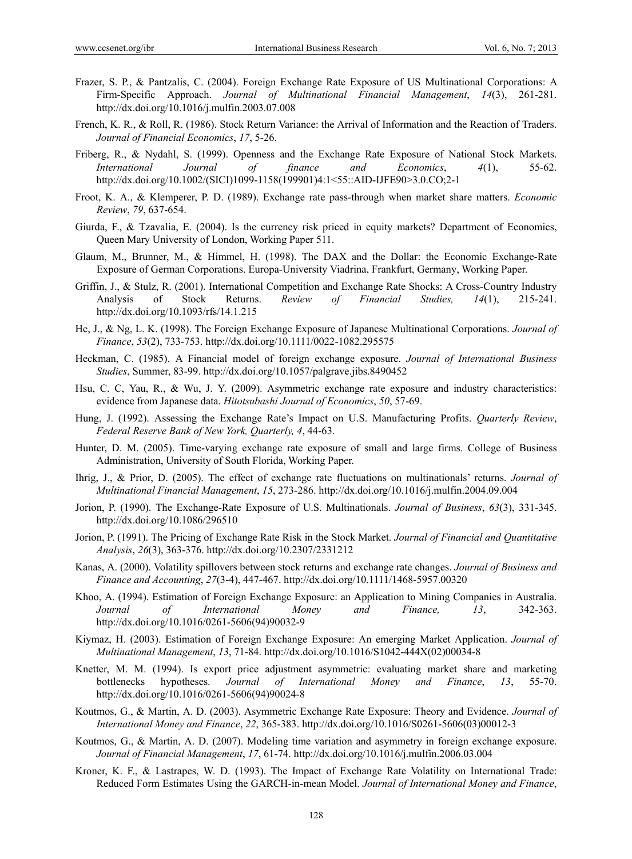- Frazer, S. P., & Pantzalis, C. (2004). Foreign Exchange Rate Exposure of US Multinational Corporations: A Firm-Specific Approach. *Journal of Multinational Financial Management*, *14*(3), 261-281. http://dx.doi.org/10.1016/j.mulfin.2003.07.008
- French, K. R., & Roll, R. (1986). Stock Return Variance: the Arrival of Information and the Reaction of Traders. *Journal of Financial Economics*, *17*, 5-26.
- Friberg, R., & Nydahl, S. (1999). Openness and the Exchange Rate Exposure of National Stock Markets. *International Journal of finance and Economics*, *4*(1), 55-62. http://dx.doi.org/10.1002/(SICI)1099-1158(199901)4:1<55::AID-IJFE90>3.0.CO;2-1
- Froot, K. A., & Klemperer, P. D. (1989). Exchange rate pass-through when market share matters. *Economic Review*, *79*, 637-654.
- Giurda, F., & Tzavalia, E. (2004). Is the currency risk priced in equity markets? Department of Economics, Queen Mary University of London, Working Paper 511.
- Glaum, M., Brunner, M., & Himmel, H. (1998). The DAX and the Dollar: the Economic Exchange-Rate Exposure of German Corporations. Europa-University Viadrina, Frankfurt, Germany, Working Paper.
- Griffin, J., & Stulz, R. (2001). International Competition and Exchange Rate Shocks: A Cross-Country Industry Analysis of Stock Returns. *Review of Financial Studies, 14*(1), 215-241. http://dx.doi.org/10.1093/rfs/14.1.215
- He, J., & Ng, L. K. (1998). The Foreign Exchange Exposure of Japanese Multinational Corporations. *Journal of Finance*, *53*(2), 733-753. http://dx.doi.org/10.1111/0022-1082.295575
- Heckman, C. (1985). A Financial model of foreign exchange exposure. *Journal of International Business Studies*, Summer, 83-99. http://dx.doi.org/10.1057/palgrave.jibs.8490452
- Hsu, C. C, Yau, R., & Wu, J. Y. (2009). Asymmetric exchange rate exposure and industry characteristics: evidence from Japanese data. *Hitotsubashi Journal of Economics*, *50*, 57-69.
- Hung, J. (1992). Assessing the Exchange Rate's Impact on U.S. Manufacturing Profits. *Quarterly Review*, *Federal Reserve Bank of New York, Quarterly, 4*, 44-63.
- Hunter, D. M. (2005). Time-varying exchange rate exposure of small and large firms. College of Business Administration, University of South Florida, Working Paper.
- Ihrig, J., & Prior, D. (2005). The effect of exchange rate fluctuations on multinationals' returns. *Journal of Multinational Financial Management*, *15*, 273-286. http://dx.doi.org/10.1016/j.mulfin.2004.09.004
- Jorion, P. (1990). The Exchange-Rate Exposure of U.S. Multinationals. *Journal of Business*, *63*(3), 331-345. http://dx.doi.org/10.1086/296510
- Jorion, P. (1991). The Pricing of Exchange Rate Risk in the Stock Market. *Journal of Financial and Quantitative Analysis*, *26*(3), 363-376. http://dx.doi.org/10.2307/2331212
- Kanas, A. (2000). Volatility spillovers between stock returns and exchange rate changes. *Journal of Business and Finance and Accounting*, *27*(3-4), 447-467. http://dx.doi.org/10.1111/1468-5957.00320
- Khoo, A. (1994). Estimation of Foreign Exchange Exposure: an Application to Mining Companies in Australia. *Journal of International Money and Finance, 13*, 342-363. http://dx.doi.org/10.1016/0261-5606(94)90032-9
- Kiymaz, H. (2003). Estimation of Foreign Exchange Exposure: An emerging Market Application. *Journal of Multinational Management*, *13*, 71-84. http://dx.doi.org/10.1016/S1042-444X(02)00034-8
- Knetter, M. M. (1994). Is export price adjustment asymmetric: evaluating market share and marketing bottlenecks hypotheses. *Journal of International Money and Finance*, *13*, 55-70. http://dx.doi.org/10.1016/0261-5606(94)90024-8
- Koutmos, G., & Martin, A. D. (2003). Asymmetric Exchange Rate Exposure: Theory and Evidence. *Journal of International Money and Finance*, *22*, 365-383. http://dx.doi.org/10.1016/S0261-5606(03)00012-3
- Koutmos, G., & Martin, A. D. (2007). Modeling time variation and asymmetry in foreign exchange exposure. *Journal of Financial Management*, *17*, 61-74. http://dx.doi.org/10.1016/j.mulfin.2006.03.004
- Kroner, K. F., & Lastrapes, W. D. (1993). The Impact of Exchange Rate Volatility on International Trade: Reduced Form Estimates Using the GARCH-in-mean Model. *Journal of International Money and Finance*,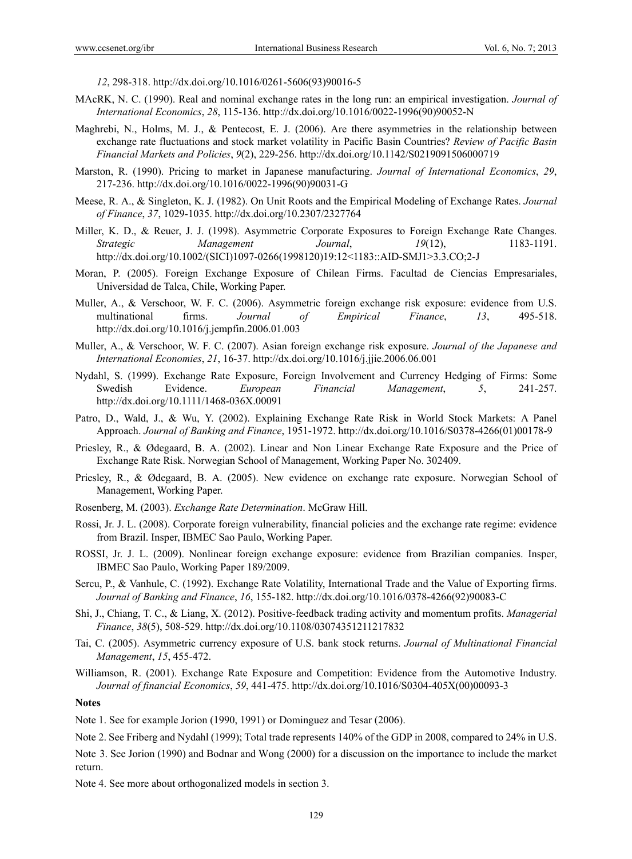*12*, 298-318. http://dx.doi.org/10.1016/0261-5606(93)90016-5

- MAcRK, N. C. (1990). Real and nominal exchange rates in the long run: an empirical investigation. *Journal of International Economics*, *28*, 115-136. http://dx.doi.org/10.1016/0022-1996(90)90052-N
- Maghrebi, N., Holms, M. J., & Pentecost, E. J. (2006). Are there asymmetries in the relationship between exchange rate fluctuations and stock market volatility in Pacific Basin Countries? *Review of Pacific Basin Financial Markets and Policies*, *9*(2), 229-256. http://dx.doi.org/10.1142/S0219091506000719
- Marston, R. (1990). Pricing to market in Japanese manufacturing. *Journal of International Economics*, *29*, 217-236. http://dx.doi.org/10.1016/0022-1996(90)90031-G
- Meese, R. A., & Singleton, K. J. (1982). On Unit Roots and the Empirical Modeling of Exchange Rates. *Journal of Finance*, *37*, 1029-1035. http://dx.doi.org/10.2307/2327764
- Miller, K. D., & Reuer, J. J. (1998). Asymmetric Corporate Exposures to Foreign Exchange Rate Changes. *Strategic Management Journal*, *19*(12), 1183-1191. http://dx.doi.org/10.1002/(SICI)1097-0266(1998120)19:12<1183::AID-SMJ1>3.3.CO;2-J
- Moran, P. (2005). Foreign Exchange Exposure of Chilean Firms. Facultad de Ciencias Empresariales, Universidad de Talca, Chile, Working Paper.
- Muller, A., & Verschoor, W. F. C. (2006). Asymmetric foreign exchange risk exposure: evidence from U.S. multinational firms. *Journal of Empirical Finance*, *13*, 495-518. http://dx.doi.org/10.1016/j.jempfin.2006.01.003
- Muller, A., & Verschoor, W. F. C. (2007). Asian foreign exchange risk exposure. *Journal of the Japanese and International Economies*, *21*, 16-37. http://dx.doi.org/10.1016/j.jjie.2006.06.001
- Nydahl, S. (1999). Exchange Rate Exposure, Foreign Involvement and Currency Hedging of Firms: Some Swedish Evidence. *European Financial Management*, *5*, 241-257. http://dx.doi.org/10.1111/1468-036X.00091
- Patro, D., Wald, J., & Wu, Y. (2002). Explaining Exchange Rate Risk in World Stock Markets: A Panel Approach. *Journal of Banking and Finance*, 1951-1972. http://dx.doi.org/10.1016/S0378-4266(01)00178-9
- Priesley, R., & Ødegaard, B. A. (2002). Linear and Non Linear Exchange Rate Exposure and the Price of Exchange Rate Risk. Norwegian School of Management, Working Paper No. 302409.
- Priesley, R., & Ødegaard, B. A. (2005). New evidence on exchange rate exposure. Norwegian School of Management, Working Paper.
- Rosenberg, M. (2003). *Exchange Rate Determination*. McGraw Hill.
- Rossi, Jr. J. L. (2008). Corporate foreign vulnerability, financial policies and the exchange rate regime: evidence from Brazil. Insper, IBMEC Sao Paulo, Working Paper.
- ROSSI, Jr. J. L. (2009). Nonlinear foreign exchange exposure: evidence from Brazilian companies. Insper, IBMEC Sao Paulo, Working Paper 189/2009.
- Sercu, P., & Vanhule, C. (1992). Exchange Rate Volatility, International Trade and the Value of Exporting firms. *Journal of Banking and Finance*, *16*, 155-182. http://dx.doi.org/10.1016/0378-4266(92)90083-C
- Shi, J., Chiang, T. C., & Liang, X. (2012). Positive-feedback trading activity and momentum profits. *Managerial Finance*, *38*(5), 508-529. http://dx.doi.org/10.1108/03074351211217832
- Tai, C. (2005). Asymmetric currency exposure of U.S. bank stock returns. *Journal of Multinational Financial Management*, *15*, 455-472.
- Williamson, R. (2001). Exchange Rate Exposure and Competition: Evidence from the Automotive Industry. *Journal of financial Economics*, *59*, 441-475. http://dx.doi.org/10.1016/S0304-405X(00)00093-3

#### **Notes**

Note 1. See for example Jorion (1990, 1991) or Dominguez and Tesar (2006).

Note 2. See Friberg and Nydahl (1999); Total trade represents 140% of the GDP in 2008, compared to 24% in U.S.

Note 3. See Jorion (1990) and Bodnar and Wong (2000) for a discussion on the importance to include the market return.

Note 4. See more about orthogonalized models in section 3.